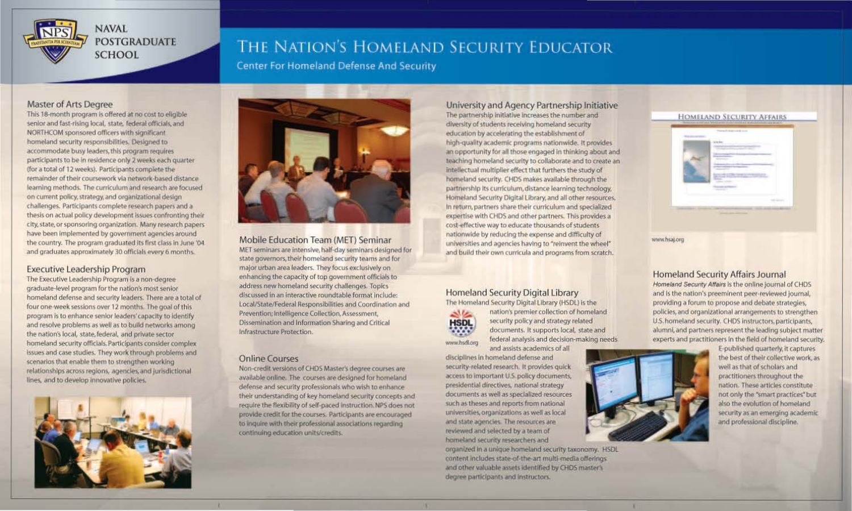

# THE NATION'S HOMELAND SECURITY EDUCATOR

**Center For Homeland Defense And Security** 

# Master of Arts Degree

This 18-month program is offered at no cost to eligible senior and fast-rising local, state, federal officials, and NORTHCOM sponsored officers with significant homeland security responsibilities. Designed to accommodate busy leaders, this program requires participants to be In residence only *2* weeks each quarter (for a total of 12 weeks). Participants complete the remainder of their coursework via network-based distance learning methods. The curriculum and research are focused on current policy, strategy. and organizational design challenges. Participants complete research papers and a thesis on actual policy development Issues confronting their city, state, or sponsoring organization. Many research papers have been implemented by government agencies around the country. The program graduated its first class in June '04 and graduates approximately 30 officials every 6 months.

## Executive Leadership Program

The Executive Leadership Program is a non-degree graduate-level program for the nation's most senior homeland defense and security leaders. There are a total of four one-week sessions over 12 months. The goal of this program is to enhance senior leaders' capacity to Identify and resolve problems as well as to build networks among the nation's local, state, federal, and private sector homeland security officials. Participants consider complex issues and case studies. They work through problems and scenarios that enable them to strengthen working relationships across regions, agencies, and jurisdictional lines. and to develop Innovative policies.





Mobile Education Team (MET) Seminar **MET seminars are intensive, half·day seminars designed for state governors, their homeland security teams and for major urban** *area* **leaders. They focus exclusively on enhancing the capacity of top government orflcials to**  address new homeland security challenges. Topics **discussed in an interactive roundtable rormat include:**  Local/State/Federal Responsibilities and Coordination and Prevention; Intelligence Collection, Assessment, **Dissemination and Information Sharing and Critical Infrastructure Protection.** 

## Online Courses

Non-credit versions of CHDS Master's degree courses are available online. The courses are designed for homeland defense and security professionals who wish to enhance their understanding of key homeland security concepts and require the flexibility of self-paced instruction. NPS does not provide credit for the courses. Participants are encouraged to inquire with their professional associations regarding continuing education units/credits.

University and Agency Partnership Initiative The partnership initiative increases the number and diversity of students receiving homeland security education by accelerating the establishment of high.quaJIIy academic programs nationwide. It provides an opportunity for all those engaged in thinking about and teaching homeland security to collaborate and to create an intellectual multiplier effect that furthers the study of homeland security. CHDS makes available through the partnership its curriculum, distance learning technology, Homeland Security Digital Library, and all other resources. In return, partners share their curriculum and specialized expertise with CHDS and other partners. This provides a cost-effective way to educate thousands of students nationwide by reducing the expense and difficulty of universities and agencies having to "reinvent the wheel" **and build their own curricula and programs from scratch.** 

# Homeland Security Digital Library

The Homeland Security Digital Library (HSOL) is the HSDL<br>www.hsd.org

**.S & and a** nation's premier collection of homeland<br>**|SDL** documents. It supports local, state and federal analysis and decision-making needs.

**and assists academics of all**  disciplines In homeland defense and security-related research. It provides quick access to important U.S. policy documents, presidential directives, national strategy documents as well as specialized resources such as theses and reports from national universities, organizations as well as local and state agencies. The resources are reviewed and selected by a team of homeland security researchers and

organized in a unique homeland security taxonomy. HSDL content includes state-of-the-art multi-media offerings and other valuable assets identified by CHDS master's degree participants and instructors.





www.hsaj.org

Homeland Security Affairs Journal Homeland Security Affairs is the online journal of CHDS and Is the nation's preeminent peer·revlewed journal. providing a forum to propose and debate strategies, policies, and organlzailonal arrangements to strengthen U.S. homeland security. CHDS Instructors, participants. alumni, and partners represent the leading subject matter experts and practitioners in the field of homeland security.



E-published quarterly, it captures the best of their collective work, as well as that of scholars and practitioners throughout the nation. These articles constitute not only the •smart practices" but also the evolution of homeland security as an emerging academic and professional discipline.